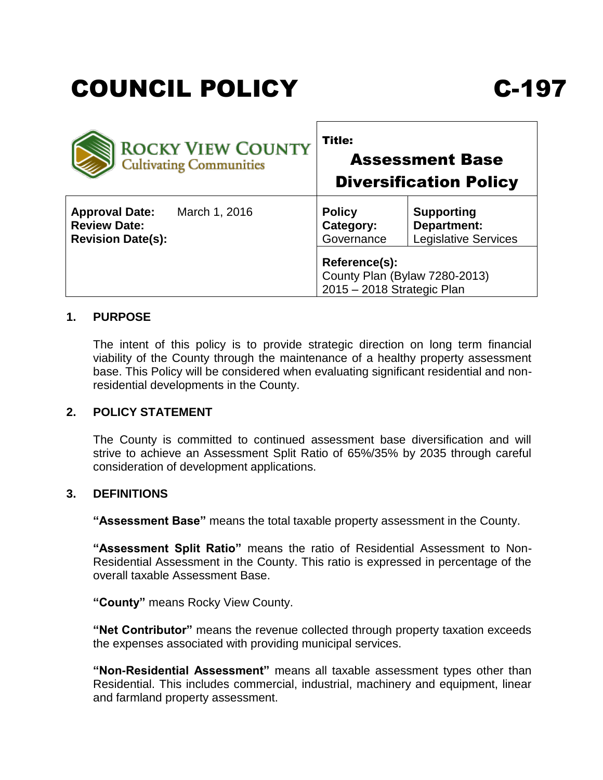# COUNCIL POLICY C-197

| <b>ROCKY VIEW COUNTY</b><br><b>Cultivating Communities</b>                                | <b>Title:</b><br><b>Assessment Base</b><br><b>Diversification Policy</b>                                    |
|-------------------------------------------------------------------------------------------|-------------------------------------------------------------------------------------------------------------|
| March 1, 2016<br><b>Approval Date:</b><br><b>Review Date:</b><br><b>Revision Date(s):</b> | <b>Supporting</b><br><b>Policy</b><br>Department:<br>Category:<br><b>Legislative Services</b><br>Governance |
|                                                                                           | Reference(s):<br>County Plan (Bylaw 7280-2013)<br>2015 - 2018 Strategic Plan                                |

## **1. PURPOSE**

The intent of this policy is to provide strategic direction on long term financial viability of the County through the maintenance of a healthy property assessment base. This Policy will be considered when evaluating significant residential and nonresidential developments in the County.

#### **2. POLICY STATEMENT**

The County is committed to continued assessment base diversification and will strive to achieve an Assessment Split Ratio of 65%/35% by 2035 through careful consideration of development applications.

## **3. DEFINITIONS**

**"Assessment Base"** means the total taxable property assessment in the County.

**"Assessment Split Ratio"** means the ratio of Residential Assessment to Non-Residential Assessment in the County. This ratio is expressed in percentage of the overall taxable Assessment Base.

**"County"** means Rocky View County.

**"Net Contributor"** means the revenue collected through property taxation exceeds the expenses associated with providing municipal services.

**"Non-Residential Assessment"** means all taxable assessment types other than Residential. This includes commercial, industrial, machinery and equipment, linear and farmland property assessment.